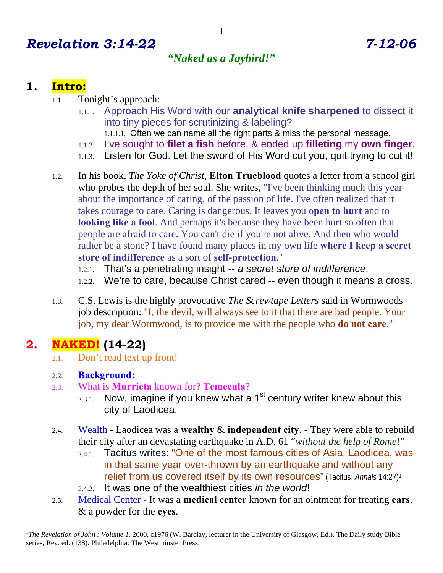# *Revelation 3:14-22 7-12-06*

# *"Naked as a Jaybird!"*

### **1. Intro:**

- 1.1. Tonight's approach:
	- 1.1.1. Approach His Word with our **analytical knife sharpened** to dissect it into tiny pieces for scrutinizing & labeling?
		- 1.1.1.1. Often we can name all the right parts & miss the personal message.
	- 1.1.2. I've sought to **filet a fish** before, & ended up **filleting** my **own finger**.
	- 1.1.3. Listen for God. Let the sword of His Word cut you, quit trying to cut it!
- 1.2. In his book, *The Yoke of Christ*, **Elton Trueblood** quotes a letter from a school girl who probes the depth of her soul. She writes, "I've been thinking much this year about the importance of caring, of the passion of life. I've often realized that it takes courage to care. Caring is dangerous. It leaves you **open to hurt** and to **looking like a fool.** And perhaps it's because they have been hurt so often that people are afraid to care. You can't die if you're not alive. And then who would rather be a stone? I have found many places in my own life **where I keep a secret store of indifference** as a sort of **self-protection**."
	- 1.2.1. That's a penetrating insight -- *a secret store of indifference*.
	- 1.2.2. We're to care, because Christ cared -- even though it means a cross.
- 1.3. C.S. Lewis is the highly provocative *The Screwtape Letters* said in Wormwoods job description: "I, the devil, will always see to it that there are bad people. Your job, my dear Wormwood, is to provide me with the people who **do not care**."

### **2. NAKED! (14-22)**

 $\overline{a}$ 

2.1. Don't read text up front!

#### 2.2. **Background:**

- 2.3. What is **Murrieta** known for? **Temecula**?
	- 2.3.1. Now, imagine if you knew what a  $1<sup>st</sup>$  century writer knew about this city of Laodicea.
- 2.4. Wealth Laodicea was a **wealthy** & **independent city**. They were able to rebuild their city after an devastating earthquake in A.D. 61 "*without the help of Rome*!"
	- 2.4.1. Tacitus writes: "One of the most famous cities of Asia, Laodicea, was in that same year over-thrown by an earthquake and without any relief from us covered itself by its own resources" (Tacitus: *Annals* 14:27)1
	- 2.4.2. It was one of the wealthiest cities *in the world*!
- 2.5. Medical Center It was a **medical center** known for an ointment for treating **ears**, & a powder for the **eyes**.

<sup>&</sup>lt;sup>1</sup>The Revelation of John: Volume 1. 2000, c1976 (W. Barclay, lecturer in the University of Glasgow, Ed.). The Daily study Bible series, Rev. ed. (138). Philadelphia: The Westminster Press.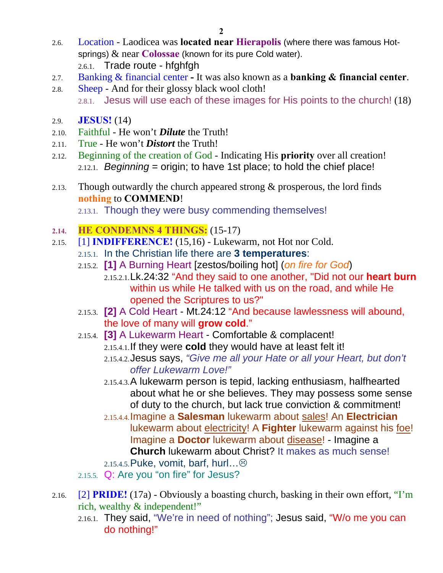- 2.6. Location Laodicea was **located near Hierapolis** (where there was famous Hotsprings) & near **Colossae** (known for its pure Cold water). 2.6.1. Trade route - hfghfgh
- 2.7. Banking & financial center **-** It was also known as a **banking & financial center**.
- 2.8. Sheep And for their glossy black wool cloth! 2.8.1. Jesus will use each of these images for His points to the church! (18)
- 2.9. **JESUS!** (14)
- 2.10. Faithful He won't *Dilute* the Truth!
- 2.11. True He won't *Distort* the Truth!
- 2.12. Beginning of the creation of God Indicating His **priority** over all creation! 2.12.1. *Beginning* = origin; to have 1st place; to hold the chief place!
- 2.13. Though outwardly the church appeared strong  $&$  prosperous, the lord finds **nothing** to **COMMEND**!

2.13.1. Though they were busy commending themselves!

#### **2.14. HE CONDEMNS 4 THINGS:** (15-17)

- 2.15. [1] **INDIFFERENCE!** (15,16) Lukewarm, not Hot nor Cold.
	- 2.15.1. In the Christian life there are **3 temperatures**:
	- 2.15.2. **[1]** A Burning Heart [zestos/boiling hot] (*on fire for God*) 2.15.2.1.Lk.24:32 "And they said to one another, "Did not our **heart burn** within us while He talked with us on the road, and while He opened the Scriptures to us?"
	- 2.15.3. **[2]** A Cold Heart Mt.24:12 "And because lawlessness will abound, the love of many will **grow cold**."
	- 2.15.4. **[3]** A Lukewarm Heart Comfortable & complacent! 2.15.4.1.If they were **cold** they would have at least felt it!
		- 2.15.4.2.Jesus says, *"Give me all your Hate or all your Heart, but don't offer Lukewarm Love!"*
		- 2.15.4.3.A lukewarm person is tepid, lacking enthusiasm, halfhearted about what he or she believes. They may possess some sense of duty to the church, but lack true conviction & commitment!
		- 2.15.4.4.Imagine a **Salesman** lukewarm about sales! An **Electrician** lukewarm about electricity! A **Fighter** lukewarm against his foe! Imagine a **Doctor** lukewarm about disease! - Imagine a **Church** lukewarm about Christ? It makes as much sense!
		- 2.15.4.5.Puke, vomit, barf, hurl…/
	- 2.15.5. Q: Are you "on fire" for Jesus?
- 2.16. [2] **PRIDE!** (17a) Obviously a boasting church, basking in their own effort, "I'm rich, wealthy & independent!"
	- 2.16.1. They said, "We're in need of nothing"; Jesus said, "W/o me you can do nothing!"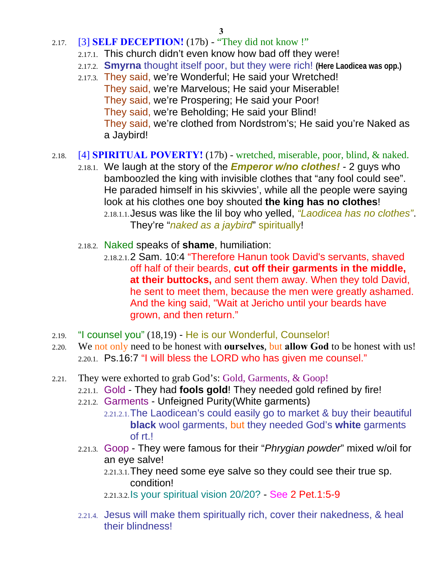- 2.17. [3] **SELF DECEPTION!** (17b) "They did not know !"
	- 2.17.1. This church didn't even know how bad off they were!
	- 2.17.2. **Smyrna** thought itself poor, but they were rich! **(Here Laodicea was opp.)**
	- 2.17.3. They said, we're Wonderful; He said your Wretched! They said, we're Marvelous; He said your Miserable! They said, we're Prospering; He said your Poor! They said, we're Beholding; He said your Blind! They said, we're clothed from Nordstrom's; He said you're Naked as a Jaybird!
- 2.18. [4] **SPIRITUAL POVERTY!** (17b) wretched, miserable, poor, blind, & naked.
	- 2.18.1. We laugh at the story of the *Emperor w/no clothes!* 2 guys who bamboozled the king with invisible clothes that "any fool could see". He paraded himself in his skivvies', while all the people were saying look at his clothes one boy shouted **the king has no clothes**!
		- 2.18.1.1.Jesus was like the lil boy who yelled, *"Laodicea has no clothes"*. They're "*naked as a jaybird*" spiritually!
	- 2.18.2. Naked speaks of **shame**, humiliation:
		- 2.18.2.1.2 Sam. 10:4 "Therefore Hanun took David's servants, shaved off half of their beards, **cut off their garments in the middle, at their buttocks,** and sent them away. When they told David, he sent to meet them, because the men were greatly ashamed. And the king said, "Wait at Jericho until your beards have grown, and then return."
- 2.19. "I counsel you" (18,19) He is our Wonderful, Counselor!
- 2.20. We not only need to be honest with **ourselves**, but **allow God** to be honest with us! 2.20.1. Ps.16:7 "I will bless the LORD who has given me counsel."
- 2.21. They were exhorted to grab God's: Gold, Garments, & Goop!
	- 2.21.1. Gold They had **fools gold**! They needed gold refined by fire!
	- 2.21.2. Garments Unfeigned Purity(White garments)
		- 2.21.2.1.The Laodicean's could easily go to market & buy their beautiful **black** wool garments, but they needed God's **white** garments of rt.!
	- 2.21.3. Goop They were famous for their "*Phrygian powder*" mixed w/oil for an eye salve!

2.21.3.1.They need some eye salve so they could see their true sp. condition!

2.21.3.2.Is your spiritual vision 20/20? - See 2 Pet.1:5-9

2.21.4. Jesus will make them spiritually rich, cover their nakedness, & heal their blindness!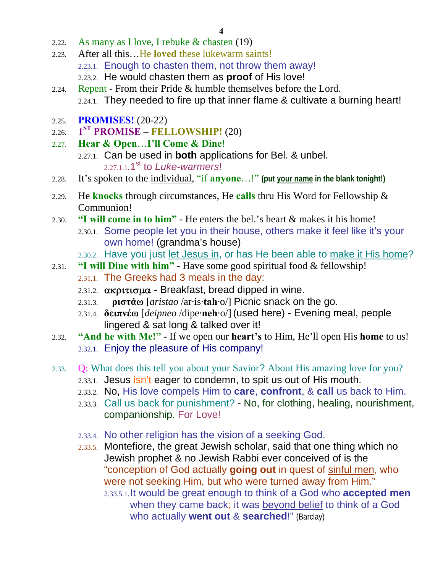- 2.22. As many as I love, I rebuke & chasten (19)
- 2.23. After all this…He **loved** these lukewarm saints! 2.23.1. Enough to chasten them, not throw them away! 2.23.2. He would chasten them as **proof** of His love!
- 2.24. Repent From their Pride & humble themselves before the Lord.
- 2.24.1. They needed to fire up that inner flame & cultivate a burning heart!
- 2.25. **PROMISES!** (20-22)
- 2.26. **1ST PROMISE FELLOWSHIP!** (20)
- 2.27. **Hear & Open**…**I'll Come & Dine**!
	- 2.27.1. Can be used in **both** applications for Bel. & unbel. 2.27.1.1.1st to *Luke-warmers*!
- 2.28. It's spoken to the individual, "if **anyone**…!" **(put your name in the blank tonight!)**
- 2.29. He **knocks** through circumstances, He **calls** thru His Word for Fellowship & Communion!
- 2.30. **"I will come in to him"** He enters the bel.'s heart & makes it his home!
	- 2.30.1. Some people let you in their house, others make it feel like it's your own home! (grandma's house)
	- 2.30.2. Have you just let Jesus in, or has He been able to make it His home?
- 2.31. **"I will Dine with him"** Have some good spiritual food & fellowship!
	- 2.31.1. The Greeks had 3 meals in the day:
	- 2.31.2.  $\alpha$ κριτισμα Breakfast, bread dipped in wine.
	- 2.31.3. **ριστάω** [*aristao* /ar·is·**tah**·o/] Picnic snack on the go.
	- 2.31.4. **δειπνέω** [*deipneo* /dipe·**neh**·o/] (used here) Evening meal, people lingered & sat long & talked over it!
- 2.32. **"And he with Me!"** If we open our **heart's** to Him, He'll open His **home** to us! 2.32.1. Enjoy the pleasure of His company!
- 2.33. Q: What does this tell you about your Savior? About His amazing love for you?
	- 2.33.1. Jesus isn't eager to condemn, to spit us out of His mouth.
	- 2.33.2. No, His love compels Him to **care**, **confront**, & **call** us back to Him.
	- 2.33.3. Call us back for punishment? No, for clothing, healing, nourishment, companionship. For Love!
	- 2.33.4. No other religion has the vision of a seeking God.
	- 2.33.5. Montefiore, the great Jewish scholar, said that one thing which no Jewish prophet & no Jewish Rabbi ever conceived of is the "conception of God actually **going out** in quest of sinful men, who were not seeking Him, but who were turned away from Him." 2.33.5.1.It would be great enough to think of a God who **accepted men** when they came back; it was beyond belief to think of a God who actually **went out** & **searched**!" (Barclay)